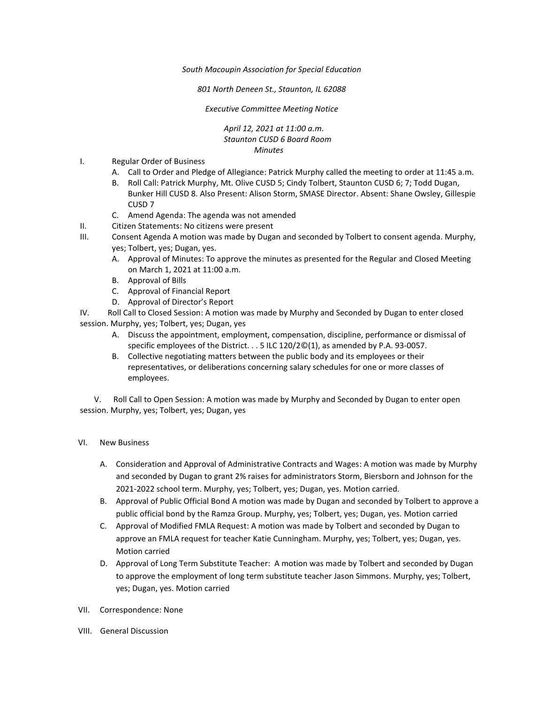*South Macoupin Association for Special Education* 

*801 North Deneen St., Staunton, IL 62088* 

*Executive Committee Meeting Notice*

*April 12, 2021 at 11:00 a.m. Staunton CUSD 6 Board Room Minutes*

- I. Regular Order of Business
	- A. Call to Order and Pledge of Allegiance: Patrick Murphy called the meeting to order at 11:45 a.m.
	- B. Roll Call: Patrick Murphy, Mt. Olive CUSD 5; Cindy Tolbert, Staunton CUSD 6; 7; Todd Dugan, Bunker Hill CUSD 8. Also Present: Alison Storm, SMASE Director. Absent: Shane Owsley, Gillespie CUSD 7
	- C. Amend Agenda: The agenda was not amended
- II. Citizen Statements: No citizens were present
- III. Consent Agenda A motion was made by Dugan and seconded by Tolbert to consent agenda. Murphy, yes; Tolbert, yes; Dugan, yes.
	- A. Approval of Minutes: To approve the minutes as presented for the Regular and Closed Meeting on March 1, 2021 at 11:00 a.m.
	- B. Approval of Bills
	- C. Approval of Financial Report
	- D. Approval of Director's Report

IV. Roll Call to Closed Session: A motion was made by Murphy and Seconded by Dugan to enter closed session. Murphy, yes; Tolbert, yes; Dugan, yes

- A. Discuss the appointment, employment, compensation, discipline, performance or dismissal of specific employees of the District. . . 5 ILC 120/2©(1), as amended by P.A. 93-0057.
- B. Collective negotiating matters between the public body and its employees or their representatives, or deliberations concerning salary schedules for one or more classes of employees.

 V. Roll Call to Open Session: A motion was made by Murphy and Seconded by Dugan to enter open session. Murphy, yes; Tolbert, yes; Dugan, yes

- VI. New Business
	- A. Consideration and Approval of Administrative Contracts and Wages: A motion was made by Murphy and seconded by Dugan to grant 2% raises for administrators Storm, Biersborn and Johnson for the 2021-2022 school term. Murphy, yes; Tolbert, yes; Dugan, yes. Motion carried.
	- B. Approval of Public Official Bond A motion was made by Dugan and seconded by Tolbert to approve a public official bond by the Ramza Group. Murphy, yes; Tolbert, yes; Dugan, yes. Motion carried
	- C. Approval of Modified FMLA Request: A motion was made by Tolbert and seconded by Dugan to approve an FMLA request for teacher Katie Cunningham. Murphy, yes; Tolbert, yes; Dugan, yes. Motion carried
	- D. Approval of Long Term Substitute Teacher: A motion was made by Tolbert and seconded by Dugan to approve the employment of long term substitute teacher Jason Simmons. Murphy, yes; Tolbert, yes; Dugan, yes. Motion carried
- VII. Correspondence: None
- VIII. General Discussion